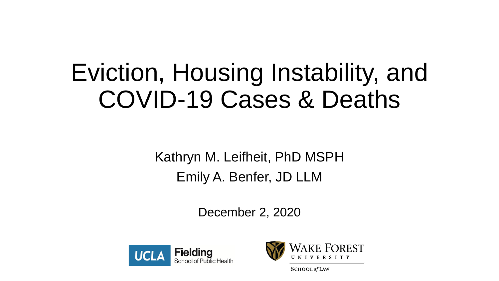# Eviction, Housing Instability, and COVID-19 Cases & Deaths

Kathryn M. Leifheit, PhD MSPH Emily A. Benfer, JD LLM

December 2, 2020





**SCHOOL** of LAW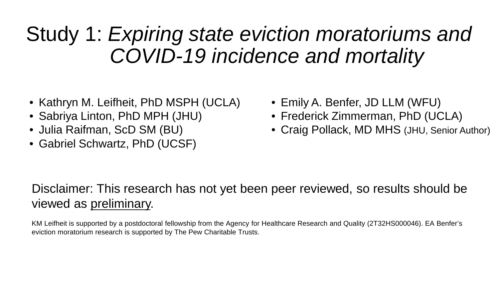### Study 1: *Expiring state eviction moratoriums and COVID-19 incidence and mortality*

- Kathryn M. Leifheit, PhD MSPH (UCLA)
- Sabriya Linton, PhD MPH (JHU)
- Julia Raifman, ScD SM (BU)
- Gabriel Schwartz, PhD (UCSF)
- Emily A. Benfer, JD LLM (WFU)
- Frederick Zimmerman, PhD (UCLA)
- Craig Pollack, MD MHS (JHU, Senior Author)

#### Disclaimer: This research has not yet been peer reviewed, so results should be viewed as preliminary.

KM Leifheit is supported by a postdoctoral fellowship from the Agency for Healthcare Research and Quality (2T32HS000046). EA Benfer's eviction moratorium research is supported by The Pew Charitable Trusts.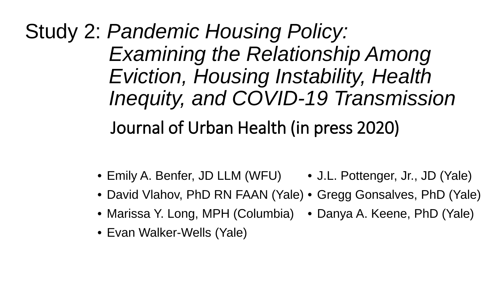Journal of Urban Health (in press 2020) Study 2: *Pandemic Housing Policy: Examining the Relationship Among Eviction, Housing Instability, Health Inequity, and COVID-19 Transmission* 

- Emily A. Benfer, JD LLM (WFU) J.L. Pottenger, Jr., JD (Yale)
- David Vlahov, PhD RN FAAN (Yale) Gregg Gonsalves, PhD (Yale)
- Marissa Y. Long, MPH (Columbia) Danya A. Keene, PhD (Yale)
- Evan Walker-Wells (Yale)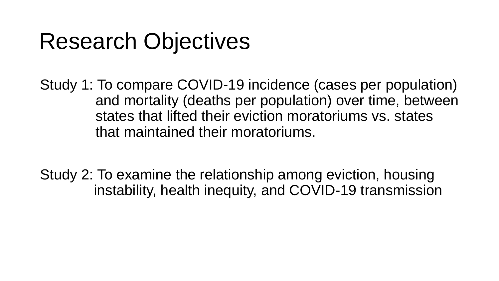# Research Objectives

Study 1: To compare COVID-19 incidence (cases per population) and mortality (deaths per population) over time, between states that lifted their eviction moratoriums vs. states that maintained their moratoriums.

Study 2: To examine the relationship among eviction, housing instability, health inequity, and COVID-19 transmission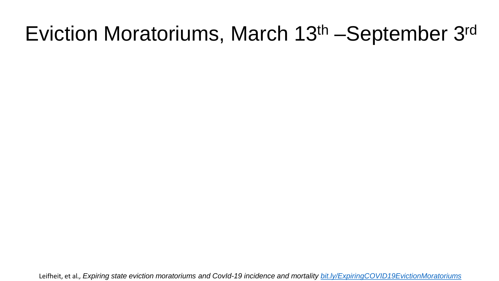### Eviction Moratoriums, March 13th –September 3rd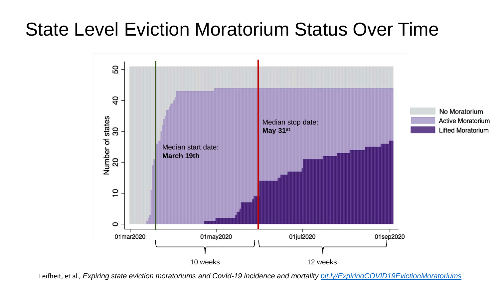#### State Level Eviction Moratorium Status Over Time

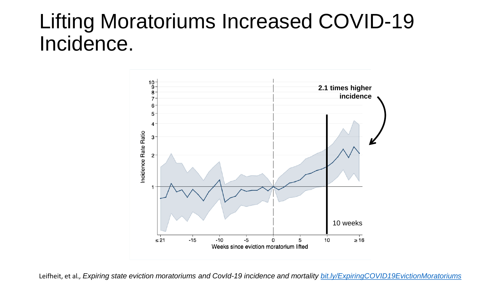### Lifting Moratoriums Increased COVID-19 Incidence.

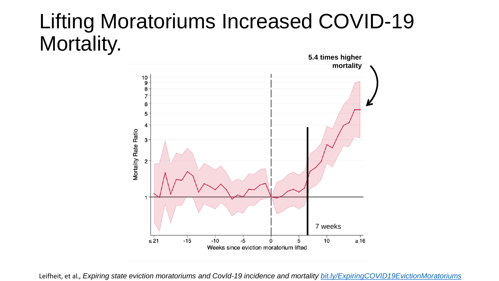# Lifting Moratoriums Increased COVID-19 **Mortality.** 5.4 times higher **1988**

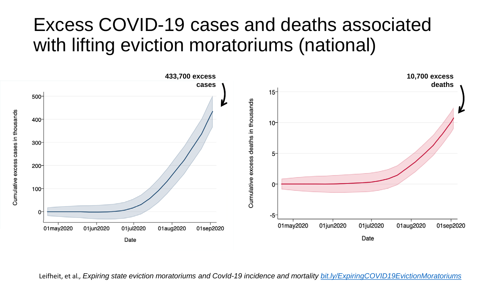#### Excess COVID-19 cases and deaths associated with lifting eviction moratoriums (national)

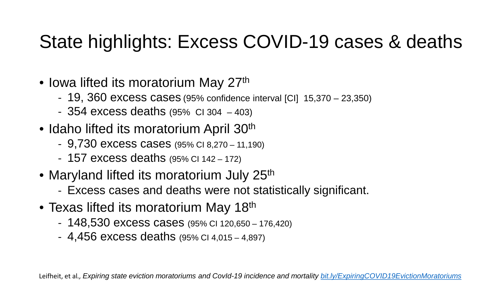#### State highlights: Excess COVID-19 cases & deaths

- Iowa lifted its moratorium May 27<sup>th</sup>
	- 19, 360 excess cases (95% confidence interval [CI] 15,370 23,350)
	- 354 excess deaths (95% CI 304 403)
- Idaho lifted its moratorium April 30<sup>th</sup>
	- 9,730 excess cases (95% CI 8,270 11,190)
	- 157 excess deaths (95% CI 142 172)
- Maryland lifted its moratorium July 25<sup>th</sup>
	- Excess cases and deaths were not statistically significant.
- Texas lifted its moratorium May 18<sup>th</sup>
	- 148,530 excess cases (95% CI 120,650 176,420)
	- 4,456 excess deaths (95% CI 4,015 4,897)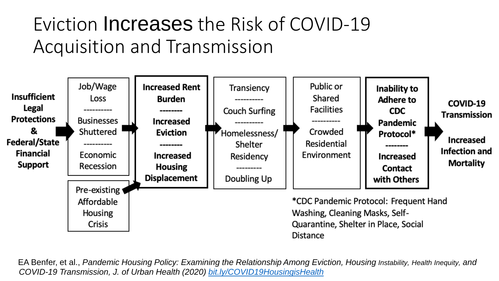### Eviction Increases the Risk of COVID-19 Acquisition and Transmission

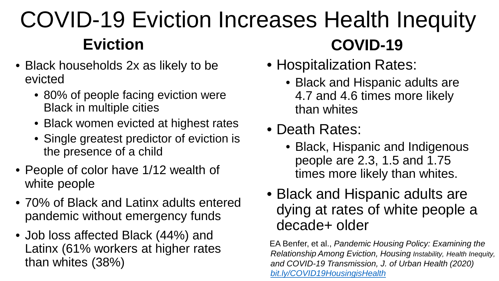#### COVID-19 Eviction Increases Health Inequity **Eviction COVID-19**

- Black households 2x as likely to be evicted
	- 80% of people facing eviction were Black in multiple cities
	- Black women evicted at highest rates
	- Single greatest predictor of eviction is the presence of a child
- People of color have 1/12 wealth of white people
- 70% of Black and Latinx adults entered pandemic without emergency funds
- Job loss affected Black (44%) and Latinx (61% workers at higher rates than whites (38%)
- Hospitalization Rates:
	- Black and Hispanic adults are 4.7 and 4.6 times more likely than whites
- Death Rates:
	- Black, Hispanic and Indigenous people are 2.3, 1.5 and 1.75 times more likely than whites.
- Black and Hispanic adults are dying at rates of white people a decade+ older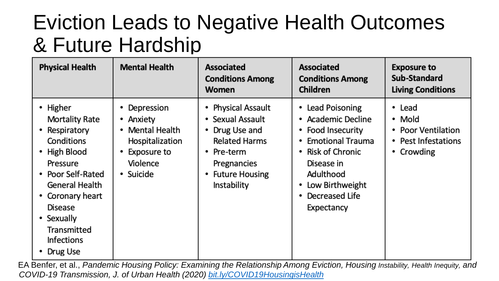### Eviction Leads to Negative Health Outcomes & Future Hardship

| <b>Physical Health</b>                                                                                                                                                                                                                           | <b>Mental Health</b>                                                                                             | <b>Associated</b><br><b>Conditions Among</b><br><b>Women</b>                                                                                                               | <b>Associated</b><br><b>Conditions Among</b><br><b>Children</b>                                                                                                                                           | <b>Exposure to</b><br>Sub-Standard<br><b>Living Conditions</b>                         |
|--------------------------------------------------------------------------------------------------------------------------------------------------------------------------------------------------------------------------------------------------|------------------------------------------------------------------------------------------------------------------|----------------------------------------------------------------------------------------------------------------------------------------------------------------------------|-----------------------------------------------------------------------------------------------------------------------------------------------------------------------------------------------------------|----------------------------------------------------------------------------------------|
| • Higher<br><b>Mortality Rate</b><br>Respiratory<br>$\bullet$<br>Conditions<br>• High Blood<br>Pressure<br>• Poor Self-Rated<br>General Health<br>• Coronary heart<br>Disease<br>• Sexually<br>Transmitted<br><b>Infections</b><br>Drug Use<br>٠ | Depression<br>• Anxiety<br>Mental Health<br>$\bullet$<br>Hospitalization<br>Exposure to<br>Violence<br>• Suicide | <b>Physical Assault</b><br>٠<br>• Sexual Assault<br>• Drug Use and<br><b>Related Harms</b><br>Pre-term<br>$\bullet$<br>Pregnancies<br><b>Future Housing</b><br>Instability | • Lead Poisoning<br>• Academic Decline<br>• Food Insecurity<br><b>Emotional Trauma</b><br>Risk of Chronic<br>$\bullet$<br>Disease in<br>Adulthood<br>Low Birthweight<br>Decreased Life<br>٠<br>Expectancy | • Lead<br>• Mold<br>• Poor Ventilation<br>• Pest Infestations<br>Crowding<br>$\bullet$ |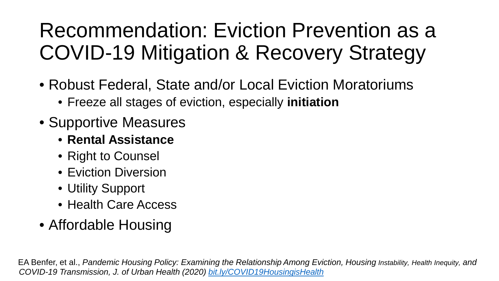## Recommendation: Eviction Prevention as a COVID-19 Mitigation & Recovery Strategy

- Robust Federal, State and/or Local Eviction Moratoriums
	- Freeze all stages of eviction, especially **initiation**
- Supportive Measures
	- **Rental Assistance**
	- Right to Counsel
	- Eviction Diversion
	- Utility Support
	- Health Care Access
- Affordable Housing